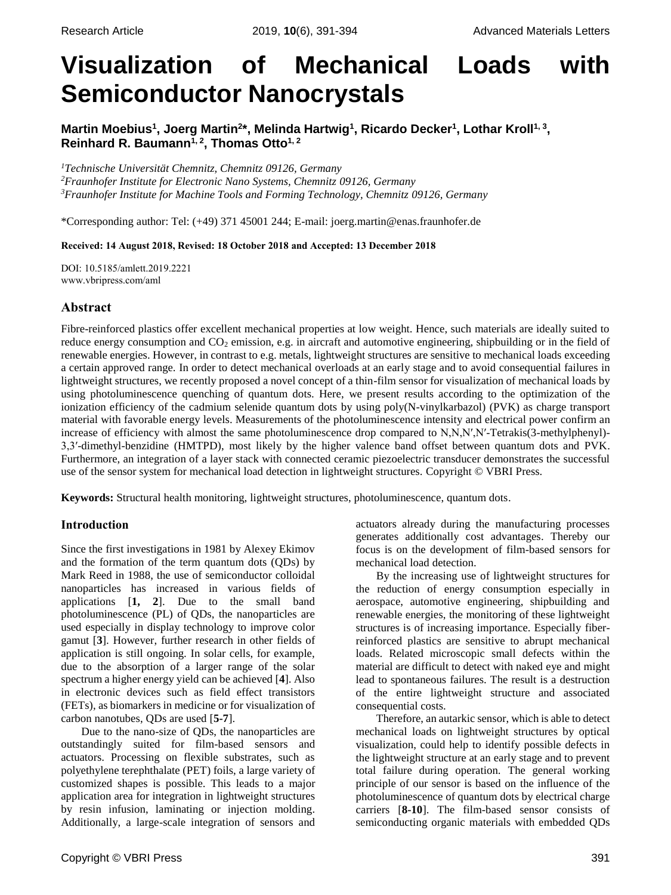# **Visualization of Mechanical Loads with Semiconductor Nanocrystals**

Martin Moebius<sup>1</sup>, Joerg Martin<sup>2\*</sup>, Melinda Hartwig<sup>1</sup>, Ricardo Decker<sup>1</sup>, Lothar Kroll<sup>1, 3</sup>, **Reinhard R. Baumann1, <sup>2</sup> , Thomas Otto1, <sup>2</sup>**

*<sup>1</sup>Technische Universität Chemnitz, Chemnitz 09126, Germany <sup>2</sup>Fraunhofer Institute for Electronic Nano Systems, Chemnitz 09126, Germany*

*<sup>3</sup>Fraunhofer Institute for Machine Tools and Forming Technology, Chemnitz 09126, Germany*

\*Corresponding author: Tel: (+49) 371 45001 244; E-mail: [joerg.martin@enas.fraunhofer.de](mailto:joerg.martin@enas.fraunhofer.de) 

**Received: 14 August 2018, Revised: 18 October 2018 and Accepted: 13 December 2018**

DOI: 10.5185/amlett.2019.2221 www.vbripress.com/aml

# **Abstract**

Fibre-reinforced plastics offer excellent mechanical properties at low weight. Hence, such materials are ideally suited to reduce energy consumption and CO<sub>2</sub> emission, e.g. in aircraft and automotive engineering, shipbuilding or in the field of renewable energies. However, in contrast to e.g. metals, lightweight structures are sensitive to mechanical loads exceeding a certain approved range. In order to detect mechanical overloads at an early stage and to avoid consequential failures in lightweight structures, we recently proposed a novel concept of a thin-film sensor for visualization of mechanical loads by using photoluminescence quenching of quantum dots. Here, we present results according to the optimization of the ionization efficiency of the cadmium selenide quantum dots by using poly(N-vinylkarbazol) (PVK) as charge transport material with favorable energy levels. Measurements of the photoluminescence intensity and electrical power confirm an increase of efficiency with almost the same photoluminescence drop compared to N,N,N',N'-Tetrakis(3-methylphenyl)-3,3′-dimethyl-benzidine (HMTPD), most likely by the higher valence band offset between quantum dots and PVK. Furthermore, an integration of a layer stack with connected ceramic piezoelectric transducer demonstrates the successful use of the sensor system for mechanical load detection in lightweight structures. Copyright © VBRI Press.

**Keywords:** Structural health monitoring, lightweight structures, photoluminescence, quantum dots.

## **Introduction**

Since the first investigations in 1981 by Alexey Ekimov and the formation of the term quantum dots (QDs) by Mark Reed in 1988, the use of semiconductor colloidal nanoparticles has increased in various fields of applications [**[1,](#page-3-0) [2](#page-3-1)**]. Due to the small band photoluminescence (PL) of QDs, the nanoparticles are used especially in display technology to improve color gamut [**3**]. However, further research in other fields of application is still ongoing. In solar cells, for example, due to the absorption of a larger range of the solar spectrum a higher energy yield can be achieved [**[4](#page-3-2)**]. Also in electronic devices such as field effect transistors (FETs), as biomarkers in medicine or for visualization of carbon nanotubes, QDs are used [**[5](#page-3-3)[-7](#page-3-4)**].

Due to the nano-size of QDs, the nanoparticles are outstandingly suited for film-based sensors and actuators. Processing on flexible substrates, such as polyethylene terephthalate (PET) foils, a large variety of customized shapes is possible. This leads to a major application area for integration in lightweight structures by resin infusion, laminating or injection molding. Additionally, a large-scale integration of sensors and actuators already during the manufacturing processes generates additionally cost advantages. Thereby our focus is on the development of film-based sensors for mechanical load detection.

By the increasing use of lightweight structures for the reduction of energy consumption especially in aerospace, automotive engineering, shipbuilding and renewable energies, the monitoring of these lightweight structures is of increasing importance. Especially fiberreinforced plastics are sensitive to abrupt mechanical loads. Related microscopic small defects within the material are difficult to detect with naked eye and might lead to spontaneous failures. The result is a destruction of the entire lightweight structure and associated consequential costs.

Therefore, an autarkic sensor, which is able to detect mechanical loads on lightweight structures by optical visualization, could help to identify possible defects in the lightweight structure at an early stage and to prevent total failure during operation. The general working principle of our sensor is based on the influence of the photoluminescence of quantum dots by electrical charge carriers [**[8-](#page-3-5)[10](#page-3-6)**]. The film-based sensor consists of semiconducting organic materials with embedded QDs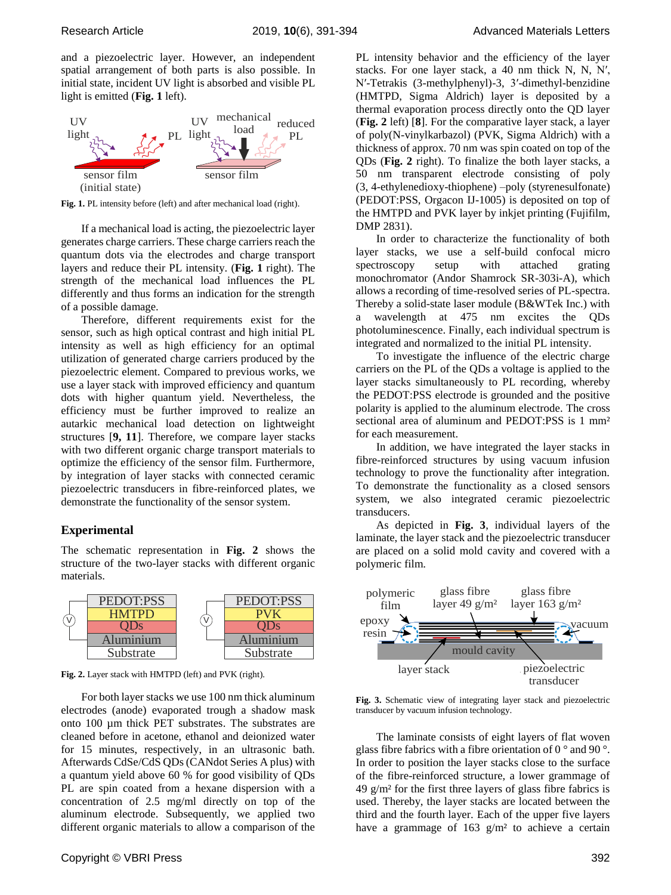and a piezoelectric layer. However, an independent spatial arrangement of both parts is also possible. In initial state, incident UV light is absorbed and visible PL light is emitted (**[Fig. 1](#page-1-0)** left).



<span id="page-1-0"></span>**Fig. 1.** PL intensity before (left) and after mechanical load (right).

If a mechanical load is acting, the piezoelectric layer generates charge carriers. These charge carriers reach the quantum dots via the electrodes and charge transport layers and reduce their PL intensity. (**[Fig. 1](#page-1-0)** right). The strength of the mechanical load influences the PL differently and thus forms an indication for the strength of a possible damage.

Therefore, different requirements exist for the sensor, such as high optical contrast and high initial PL intensity as well as high efficiency for an optimal utilization of generated charge carriers produced by the piezoelectric element. Compared to previous works, we use a layer stack with improved efficiency and quantum dots with higher quantum yield. Nevertheless, the efficiency must be further improved to realize an autarkic mechanical load detection on lightweight structures [**[9,](#page-3-7) [11](#page-3-8)**]. Therefore, we compare layer stacks with two different organic charge transport materials to optimize the efficiency of the sensor film. Furthermore, by integration of layer stacks with connected ceramic piezoelectric transducers in fibre-reinforced plates, we demonstrate the functionality of the sensor system.

## **Experimental**

The schematic representation in **[Fig. 2](#page-1-1)** shows the structure of the two-layer stacks with different organic materials.



<span id="page-1-1"></span>Fig. 2. Layer stack with HMTPD (left) and PVK (right).

For both layer stacks we use 100 nm thick aluminum electrodes (anode) evaporated trough a shadow mask onto 100 µm thick PET substrates. The substrates are cleaned before in acetone, ethanol and deionized water for 15 minutes, respectively, in an ultrasonic bath. Afterwards CdSe/CdS QDs (CANdot Series A plus) with a quantum yield above 60 % for good visibility of QDs PL are spin coated from a hexane dispersion with a concentration of 2.5 mg/ml directly on top of the aluminum electrode. Subsequently, we applied two different organic materials to allow a comparison of the

PL intensity behavior and the efficiency of the layer stacks. For one layer stack, a 40 nm thick N, N, N′, N′-Tetrakis (3-methylphenyl)-3, 3′-dimethyl-benzidine (HMTPD, Sigma Aldrich) layer is deposited by a thermal evaporation process directly onto the QD layer (**[Fig. 2](#page-1-1)** left) [**[8](#page-3-5)**]. For the comparative layer stack, a layer of poly(N-vinylkarbazol) (PVK, Sigma Aldrich) with a thickness of approx. 70 nm was spin coated on top of the QDs (**[Fig. 2](#page-1-1)** right). To finalize the both layer stacks, a 50 nm transparent electrode consisting of poly (3, 4-ethylenedioxy-thiophene) –poly (styrenesulfonate) (PEDOT:PSS, Orgacon IJ-1005) is deposited on top of the HMTPD and PVK layer by inkjet printing (Fujifilm, DMP 2831).

In order to characterize the functionality of both layer stacks, we use a self-build confocal micro spectroscopy setup with attached grating monochromator (Andor Shamrock SR-303i-A), which allows a recording of time-resolved series of PL-spectra. Thereby a solid-state laser module (B&WTek Inc.) with a wavelength at 475 nm excites the QDs photoluminescence. Finally, each individual spectrum is integrated and normalized to the initial PL intensity.

To investigate the influence of the electric charge carriers on the PL of the QDs a voltage is applied to the layer stacks simultaneously to PL recording, whereby the PEDOT:PSS electrode is grounded and the positive polarity is applied to the aluminum electrode. The cross sectional area of aluminum and PEDOT:PSS is 1 mm<sup>2</sup> for each measurement.

In addition, we have integrated the layer stacks in fibre-reinforced structures by using vacuum infusion technology to prove the functionality after integration. To demonstrate the functionality as a closed sensors system, we also integrated ceramic piezoelectric transducers.

As depicted in **[Fig. 3](#page-1-2)**, individual layers of the laminate, the layer stack and the piezoelectric transducer are placed on a solid mold cavity and covered with a polymeric film.



<span id="page-1-2"></span>**Fig. 3.** Schematic view of integrating layer stack and piezoelectric transducer by vacuum infusion technology.

The laminate consists of eight layers of flat woven glass fibre fabrics with a fibre orientation of 0  $\degree$  and 90  $\degree$ . In order to position the layer stacks close to the surface of the fibre-reinforced structure, a lower grammage of 49  $g/m^2$  for the first three layers of glass fibre fabrics is used. Thereby, the layer stacks are located between the third and the fourth layer. Each of the upper five layers have a grammage of  $163$  g/m<sup>2</sup> to achieve a certain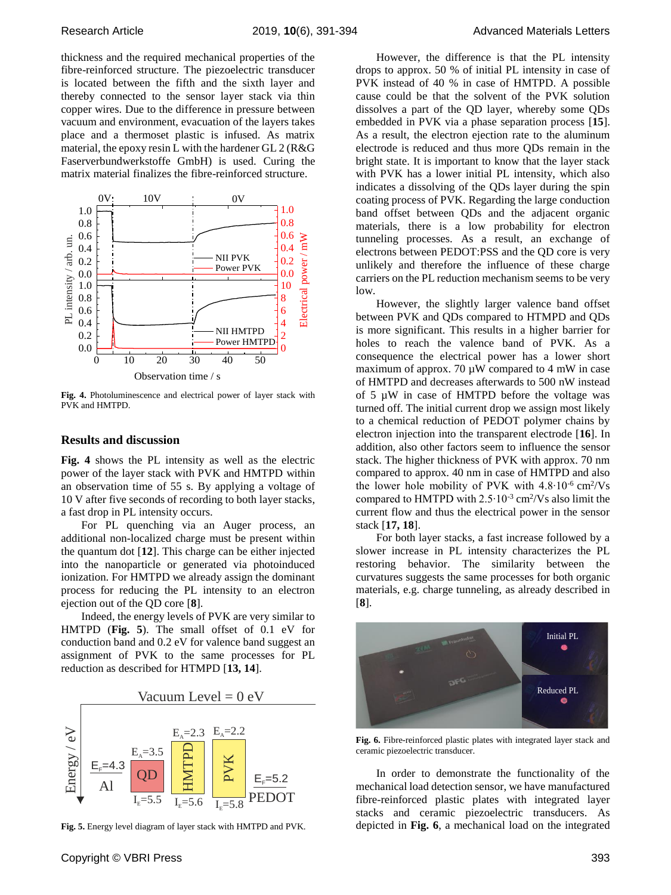thickness and the required mechanical properties of the fibre-reinforced structure. The piezoelectric transducer is located between the fifth and the sixth layer and thereby connected to the sensor layer stack via thin copper wires. Due to the difference in pressure between vacuum and environment, evacuation of the layers takes place and a thermoset plastic is infused. As matrix material, the epoxy resin L with the hardener GL 2 (R&G Faserverbundwerkstoffe GmbH) is used. Curing the matrix material finalizes the fibre-reinforced structure.



<span id="page-2-0"></span>**Fig. 4.** Photoluminescence and electrical power of layer stack with PVK and HMTPD.

## **Results and discussion**

**[Fig. 4](#page-2-0)** shows the PL intensity as well as the electric power of the layer stack with PVK and HMTPD within an observation time of 55 s. By applying a voltage of 10 V after five seconds of recording to both layer stacks, a fast drop in PL intensity occurs.

For PL quenching via an Auger process, an additional non-localized charge must be present within the quantum dot [**[12](#page-3-9)**]. This charge can be either injected into the nanoparticle or generated via photoinduced ionization. For HMTPD we already assign the dominant process for reducing the PL intensity to an electron ejection out of the QD core [**[8](#page-3-5)**].

Indeed, the energy levels of PVK are very similar to HMTPD (**[Fig. 5](#page-2-1)**). The small offset of 0.1 eV for conduction band and 0.2 eV for valence band suggest an assignment of PVK to the same processes for PL reduction as described for HTMPD [**[13,](#page-3-10) [14](#page-3-11)**].



<span id="page-2-1"></span>**Fig. 5.** Energy level diagram of layer stack with HMTPD and PVK.

However, the difference is that the PL intensity drops to approx. 50 % of initial PL intensity in case of PVK instead of 40 % in case of HMTPD. A possible cause could be that the solvent of the PVK solution dissolves a part of the QD layer, whereby some QDs embedded in PVK via a phase separation process [**[15](#page-3-12)**]. As a result, the electron ejection rate to the aluminum electrode is reduced and thus more QDs remain in the bright state. It is important to know that the layer stack with PVK has a lower initial PL intensity, which also indicates a dissolving of the QDs layer during the spin coating process of PVK. Regarding the large conduction band offset between QDs and the adjacent organic materials, there is a low probability for electron tunneling processes. As a result, an exchange of electrons between PEDOT:PSS and the QD core is very unlikely and therefore the influence of these charge carriers on the PL reduction mechanism seems to be very low.

However, the slightly larger valence band offset between PVK and QDs compared to HTMPD and QDs is more significant. This results in a higher barrier for holes to reach the valence band of PVK. As a consequence the electrical power has a lower short maximum of approx. 70  $\mu$ W compared to 4 mW in case of HMTPD and decreases afterwards to 500 nW instead of 5 µW in case of HMTPD before the voltage was turned off. The initial current drop we assign most likely to a chemical reduction of PEDOT polymer chains by electron injection into the transparent electrode [**[16](#page-3-13)**]. In addition, also other factors seem to influence the sensor stack. The higher thickness of PVK with approx. 70 nm compared to approx. 40 nm in case of HMTPD and also the lower hole mobility of PVK with  $4.8 \cdot 10^{-6}$  cm<sup>2</sup>/Vs compared to HMTPD with  $2.5 \cdot 10^{-3}$  cm<sup>2</sup>/Vs also limit the current flow and thus the electrical power in the sensor stack [**[17,](#page-3-14) [18](#page-3-15)**].

For both layer stacks, a fast increase followed by a slower increase in PL intensity characterizes the PL restoring behavior. The similarity between the curvatures suggests the same processes for both organic materials, e.g. charge tunneling, as already described in [**[8](#page-3-5)**].



<span id="page-2-2"></span>**Fig. 6.** Fibre-reinforced plastic plates with integrated layer stack and ceramic piezoelectric transducer.

In order to demonstrate the functionality of the mechanical load detection sensor, we have manufactured fibre-reinforced plastic plates with integrated layer stacks and ceramic piezoelectric transducers. As depicted in **[Fig. 6](#page-2-2)**, a mechanical load on the integrated